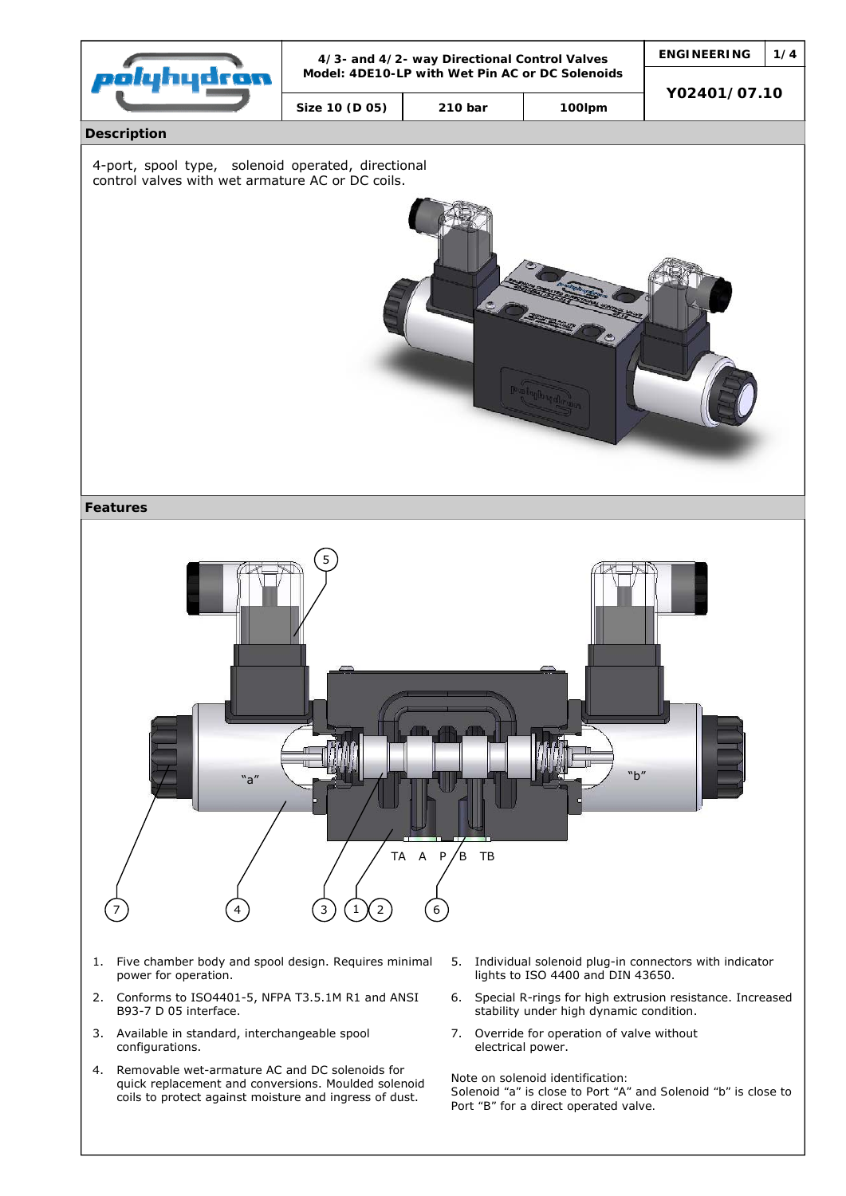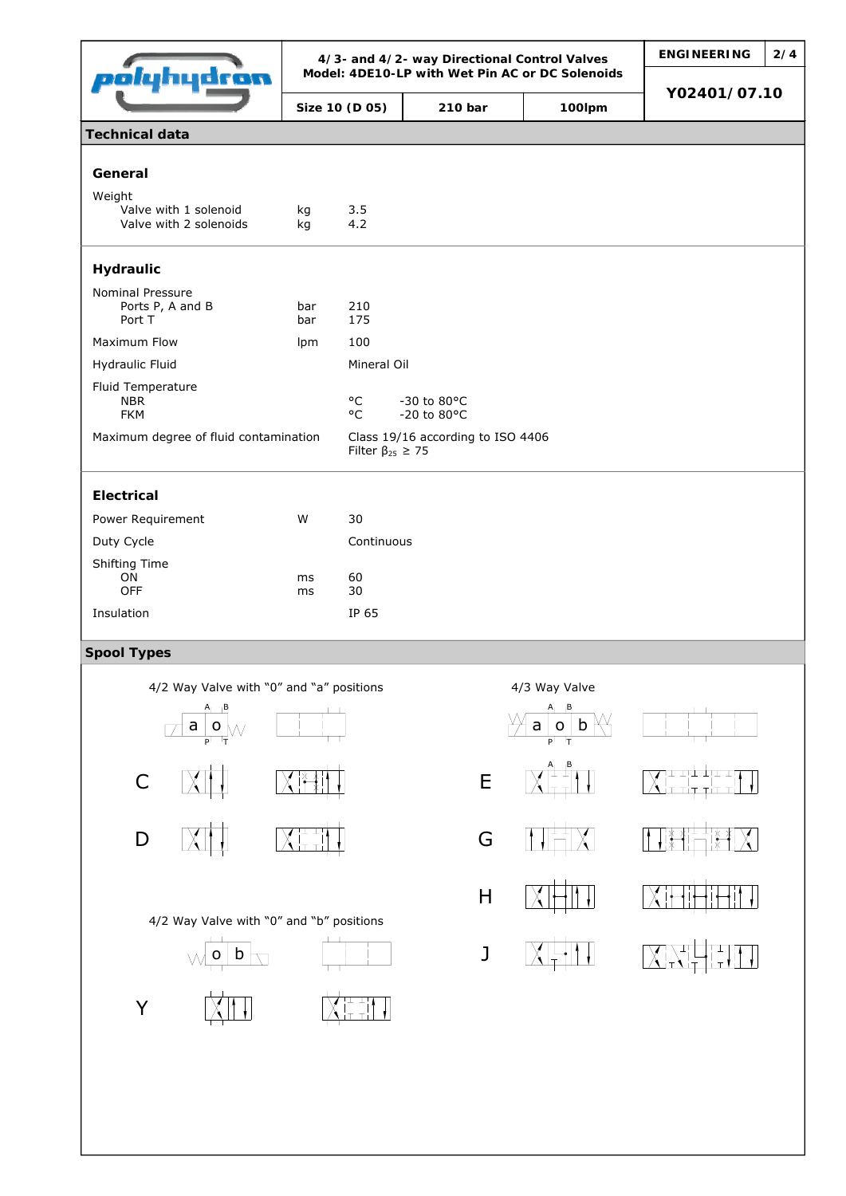| olyhydron                                                                        |                             | 4/3- and 4/2- way Directional Control Valves<br>Model: 4DE10-LP with Wet Pin AC or DC Solenoids | <b>ENGINEERING</b>                | 2/4                    |                                 |  |
|----------------------------------------------------------------------------------|-----------------------------|-------------------------------------------------------------------------------------------------|-----------------------------------|------------------------|---------------------------------|--|
|                                                                                  | Size 10 (D 05)              |                                                                                                 | 210 bar                           | 100lpm                 | Y02401/07.10                    |  |
| <b>Technical data</b>                                                            |                             |                                                                                                 |                                   |                        |                                 |  |
| General                                                                          |                             |                                                                                                 |                                   |                        |                                 |  |
| Weight                                                                           |                             |                                                                                                 |                                   |                        |                                 |  |
| Valve with 1 solenoid<br>Valve with 2 solenoids                                  | kg<br>kg                    | 3.5<br>4.2                                                                                      |                                   |                        |                                 |  |
| Hydraulic                                                                        |                             |                                                                                                 |                                   |                        |                                 |  |
| Nominal Pressure<br>Ports P, A and B<br>Port T                                   | bar<br>bar                  | 210<br>175                                                                                      |                                   |                        |                                 |  |
| Maximum Flow                                                                     | Ipm                         | 100                                                                                             |                                   |                        |                                 |  |
| Hydraulic Fluid                                                                  |                             | Mineral Oil                                                                                     |                                   |                        |                                 |  |
| Fluid Temperature<br><b>NBR</b><br><b>FKM</b>                                    |                             | °C<br>$^{\circ}$ C                                                                              | -30 to 80°C<br>-20 to 80°C        |                        |                                 |  |
| Maximum degree of fluid contamination                                            |                             | Filter $\beta_{25} \geq 75$                                                                     | Class 19/16 according to ISO 4406 |                        |                                 |  |
| <b>Electrical</b>                                                                |                             |                                                                                                 |                                   |                        |                                 |  |
| Power Requirement                                                                | W                           | 30                                                                                              |                                   |                        |                                 |  |
| Duty Cycle                                                                       |                             | Continuous                                                                                      |                                   |                        |                                 |  |
| Shifting Time<br>ON                                                              |                             | 60                                                                                              |                                   |                        |                                 |  |
| OFF                                                                              | ms<br>ms                    | 30                                                                                              |                                   |                        |                                 |  |
| Insulation                                                                       |                             | IP 65                                                                                           |                                   |                        |                                 |  |
| <b>Spool Types</b>                                                               |                             |                                                                                                 |                                   |                        |                                 |  |
| 4/2 Way Valve with "0" and "a" positions                                         |                             |                                                                                                 |                                   | 4/3 Way Valve          |                                 |  |
| $\underline{\mathsf{a}\, \,\mathsf{o}}_{\mathsf{p}^\dagger\mathsf{h}\mathsf{r}}$ |                             |                                                                                                 |                                   | b<br>a<br>$\mathsf{o}$ |                                 |  |
| $\mathsf C$                                                                      |                             |                                                                                                 | $\mathsf E$                       | ᄓ                      | ╳╎╾╌╌┼╶┼╌╌╷<br>╳╎┬╶╷┬╶╎┬╶╎      |  |
|                                                                                  |                             |                                                                                                 |                                   |                        |                                 |  |
| $\mathsf D$                                                                      | $\chi _{\rm min}^{\rm max}$ |                                                                                                 | G                                 | 법                      | ╶╞╅╶╅╷┹╌┸╌╅╴╅<br>╶╎╅╾┩╎┌─┐╎╬╌┩╎ |  |
|                                                                                  |                             |                                                                                                 | $\sf H$                           |                        |                                 |  |
| 4/2 Way Valve with "0" and "b" positions<br>b<br>$\circ$                         |                             |                                                                                                 | J                                 |                        | ᅚ                               |  |
|                                                                                  |                             | ן⊥ ⊥ין                                                                                          |                                   |                        |                                 |  |
| Y                                                                                |                             |                                                                                                 |                                   |                        |                                 |  |
|                                                                                  |                             |                                                                                                 |                                   |                        |                                 |  |
|                                                                                  |                             |                                                                                                 |                                   |                        |                                 |  |
|                                                                                  |                             |                                                                                                 |                                   |                        |                                 |  |
|                                                                                  |                             |                                                                                                 |                                   |                        |                                 |  |
|                                                                                  |                             |                                                                                                 |                                   |                        |                                 |  |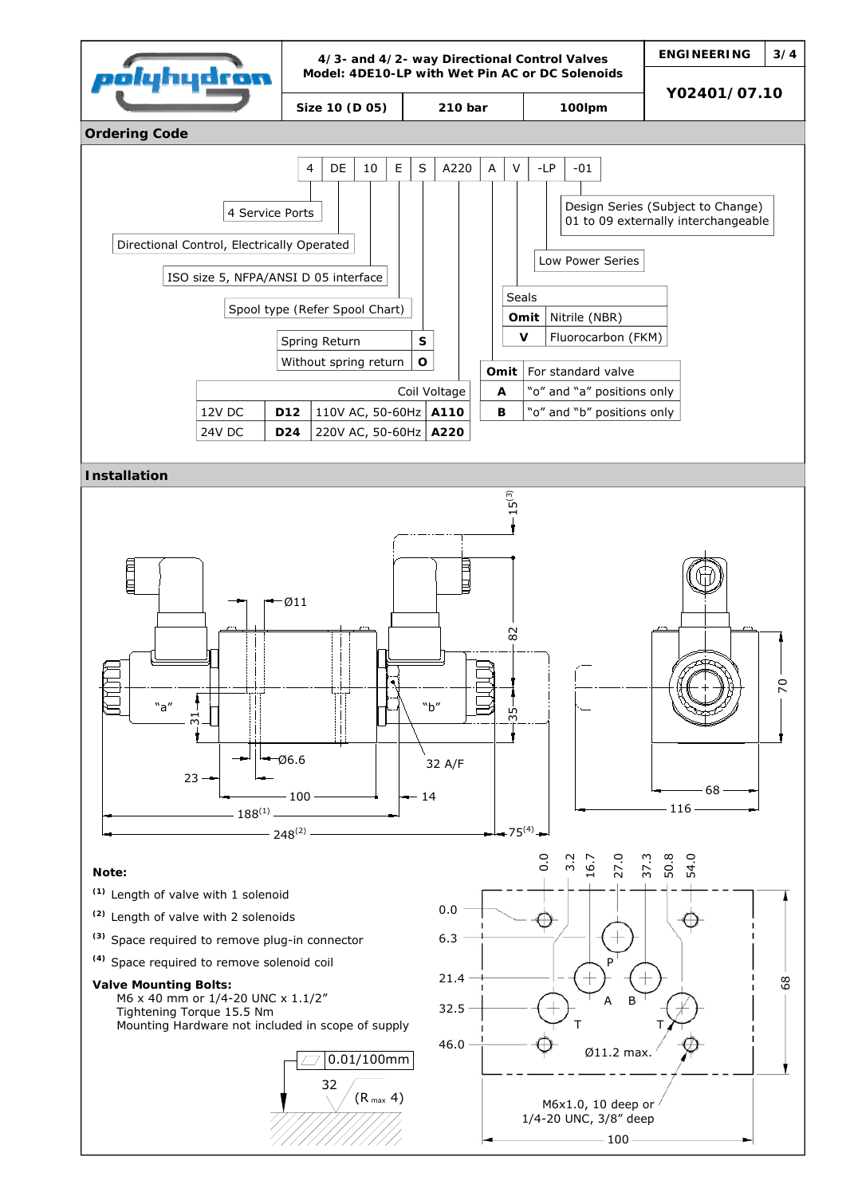